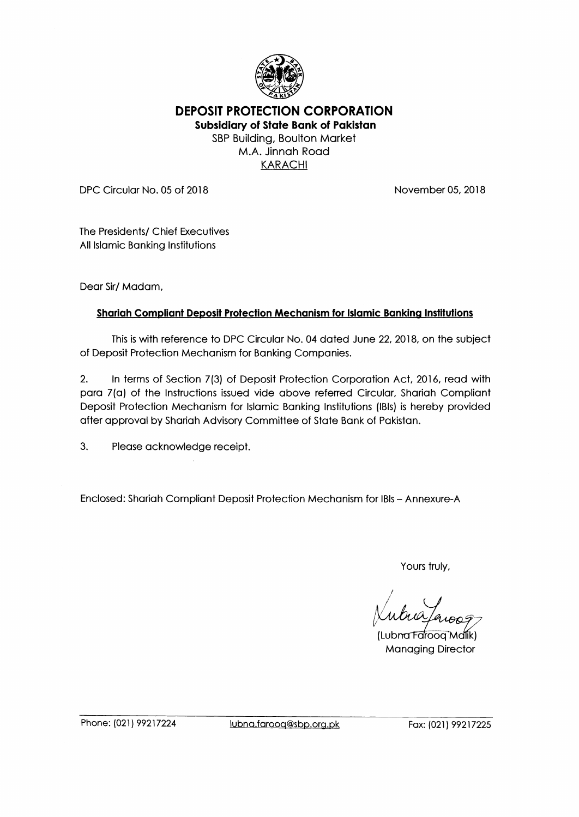

DEPOSIT PROTECTION CORPORATION

Subsidiary of State Bank of Pakistan SBP Building, Boulton Market M.A. Jinnah Road KARACHI

DPC Circular No. 05 of 2018 November 05, 2018

The Presidents/ Chief Executives All Islamic Banking Institutions

Dear Sir/ Madam,

# Shariah Compliant Deposit Protection Mechanism for Islamic Banking Institutions

This is with reference to DPC Circular No. 04 dated June 22, 2018, on the subject of Deposit Protection Mechanism for Banking Companies.

2. In terms of Section 7(3) of Deposit Protection Corporation Act, 2016, read with para 7(a) of the Instructions issued vide above referred Circular, Shariah Compliant Deposit Protection Mechanism for Islamic Banking Institutions (IBIs) is hereby provided after approval by Shariah Advisory Committee of State Bank of Pakistan.

3. Please acknowledge receipt.

Enclosed: Shariah Compliant Deposit Protection Mechanism for IBIs - Annexure-A

Yours truly,

 $\mathbf{v}$ (Lubna Faroog Malik) Managing Director

Phone: (021) 99217224 lubna.farooq@sbp.org.pk Fax: (021) 99217225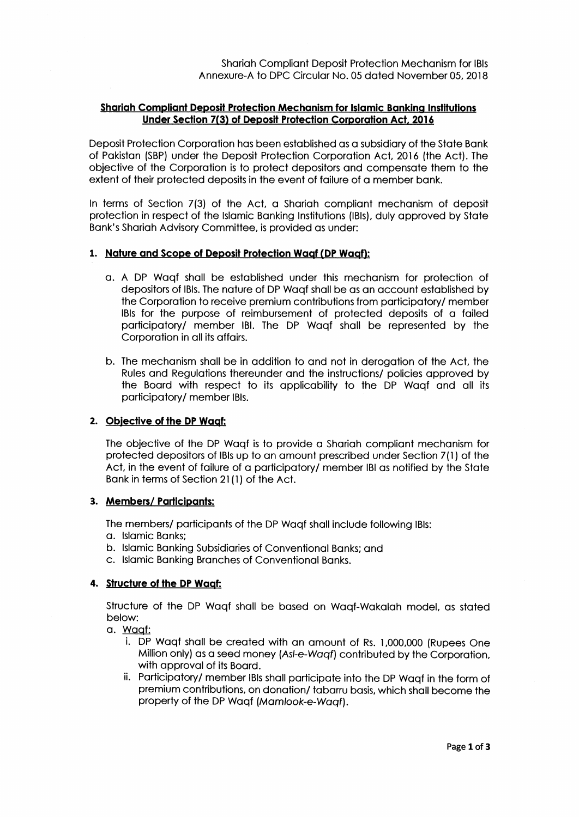# Shariah Compliant Deposit Protection Mechanism for Islamic Banking Institutions Under Section 7(3) of Deposit Protection Corporation Act, 2016

Deposit Protection Corporation has been established as a subsidiary of the State Bank of Pakistan (SBP) under the Deposit Protection Corporation Act, 2016 (the Act). The objective of the Corporation is to protect depositors and compensate them to the extent of their protected deposits in the event of failure of a member bank.

In terms of Section 7(3) of the Act, a Shariah compliant mechanism of deposit protection in respect of the Islamic Banking Institutions (1131s), duly approved by State Bank's Shariah Advisory Committee, is provided as under:

# 1. Nature and Scope of Deposit Protection Waqf (DP Waqf):

- a. A DP Waqf shall be established under this mechanism for protection of depositors of IBIs. The nature of DP Waqf shall be as an account established by the Corporation to receive premium contributions from participatory/member IBIs for the purpose of reimbursement of protected deposits of a failed participatory/ member IBI. The DP Waqf shall be represented by the Corporation in all its affairs.
- b. The mechanism shall be in addition to and not in derogation of the Act, the Rules and Regulations thereunder and the instructions/ policies approved by the Board with respect to its applicability to the DP Waqf and all its participatory/ member IBIs.

# 2. Objective of the DP Waqf:

The objective of the DP Waqf is to provide a Shariah compliant mechanism for protected depositors of IBIs up to an amount prescribed under Section 7(1) of the Act, in the event of failure of a participatory/ member IBI as notified by the State Bank in terms of Section 21 (1) of the Act.

# 3. Members/ Participants:

The members/ participants of the DP Waqf shall include following IBIs:

- a. Islamic Banks;
- b. Islamic Banking Subsidiaries of Conventional Banks; and
- c. Islamic Banking Branches of Conventional Banks.

# 4. Structure of the DP Waqf:

Structure of the DP Waqf shall be based on Waqf-Wakolah model, as stated below:

- a. Waqf:
	- i. DP Waqf shall be created with an amount of Rs. 1,000,000 (Rupees One Million only) as a seed money (As/-e-Waqf) contributed by the Corporation, with approval of its Board.
	- ii. Participatory/ member IBIs shall participate into the DP Waaf in the form of premium contributions, on donation/ tabarru basis, which shall become the property of the DP Waqf (Mamlook-e-Waqf).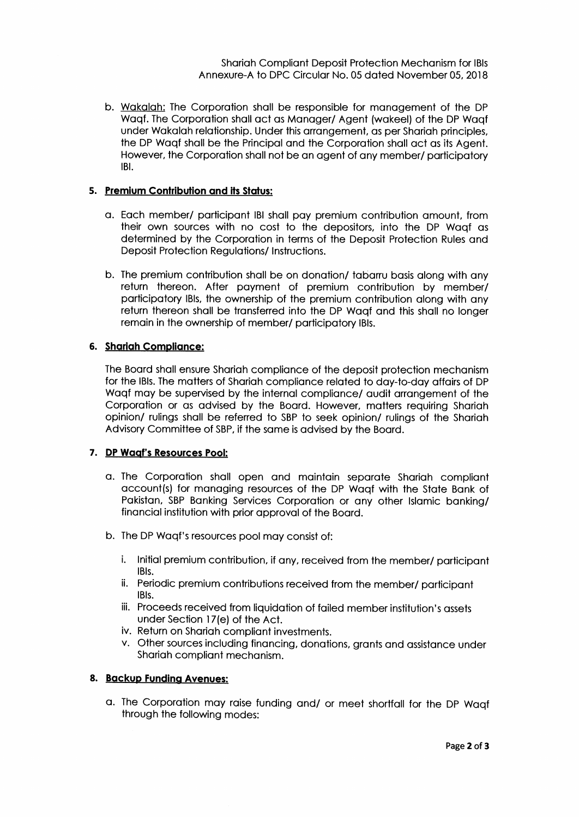b. Wakalah: The Corporation shall be responsible for management of the DP Waqf. The Corporation shall act as Manager/ Agent (wakeel) of the DP Waqf under Wakalah relationship. Under this arrangement, as per Shariah principles, the DP Waqf shall be the Principal and the Corporation shall act as its Agent. However, the Corporation shall not be an agent of any member/ participatory IBI.

# S. Premium Contribution and its Status:

- a. Each member/ participant IBI shall pay premium contribution amount, from their own sources with no cost to the depositors, into the DP Waqf as determined by the Corporation in terms of the Deposit Protection Rules and Deposit Protection Regulations/ Instructions.
- b. The premium contribution shall be on donation/ tabarru basis along with any return thereon. After payment of premium contribution by member/ participatory IBIs, the ownership of the premium contribution along with any return thereon shall be transferred into the DP Waqf and this shall no longer remain in the ownership of member/ participatory IBIs.

# 6. Shariah Compliance:

The Board shall ensure Shariah compliance of the deposit protection mechanism for the IBIs. The matters of Shariah compliance related to day-to-day affairs of DP Waqf may be supervised by the internal compliance/ audit arrangement of the Corporation or as advised by the Board. However, matters requiring Shariah opinion/ rulings shall be referred to SBP to seek opinion/ rulings of the Shariah Advisory Committee of SBP, if the same is advised by the Board.

# 7. DP Waqf's Resources Pool:

- a. The Corporation shall open and maintain separate Shariah compliant account(s) for managing resources of the DP Waqf with the State Bank of Pakistan, SBP Banking Services Corporation or any other Islamic banking/ financial institution with prior approval of the Board.
- b. The DP Waqf's resources pool may consist of:
	- i. Initial premium contribution, if any, received from the member/ participant IBIs.
	- ii. Periodic premium contributions received from the member/ participant IBIs.
	- iii. Proceeds received from liquidation of failed member institution's assets under Section 17(e) of the Act.
	- iv. Return on Shariah compliant investments.
	- v. Other sources including financing, donations, grants and assistance under Shariah compliant mechanism.

# 8. Backup Funding Avenues:

a. The Corporation may raise funding and/ or meet shortfall for the DP Waqf through the following modes: